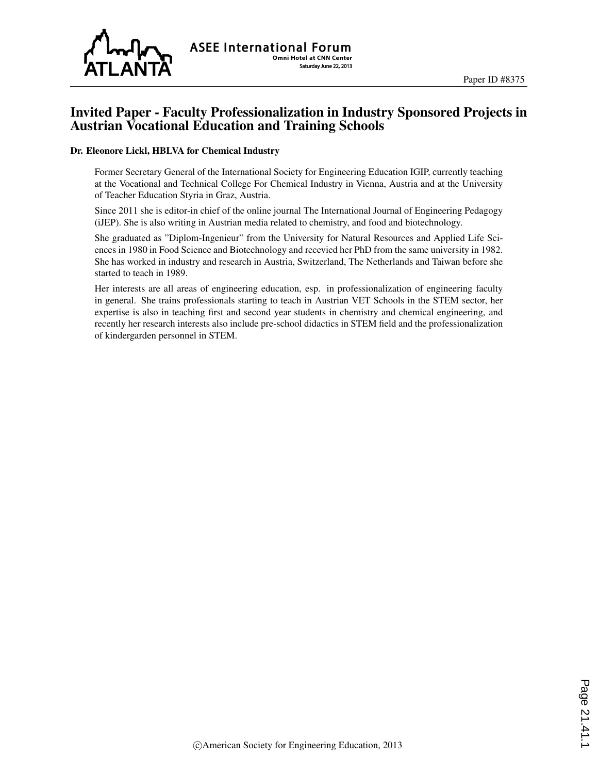

## Invited Paper - Faculty Professionalization in Industry Sponsored Projects in Austrian Vocational Education and Training Schools

#### Dr. Eleonore Lickl, HBLVA for Chemical Industry

Former Secretary General of the International Society for Engineering Education IGIP, currently teaching at the Vocational and Technical College For Chemical Industry in Vienna, Austria and at the University of Teacher Education Styria in Graz, Austria.

Since 2011 she is editor-in chief of the online journal The International Journal of Engineering Pedagogy (iJEP). She is also writing in Austrian media related to chemistry, and food and biotechnology.

She graduated as "Diplom-Ingenieur" from the University for Natural Resources and Applied Life Sciences in 1980 in Food Science and Biotechnology and recevied her PhD from the same university in 1982. She has worked in industry and research in Austria, Switzerland, The Netherlands and Taiwan before she started to teach in 1989.

Her interests are all areas of engineering education, esp. in professionalization of engineering faculty in general. She trains professionals starting to teach in Austrian VET Schools in the STEM sector, her expertise is also in teaching first and second year students in chemistry and chemical engineering, and recently her research interests also include pre-school didactics in STEM field and the professionalization of kindergarden personnel in STEM.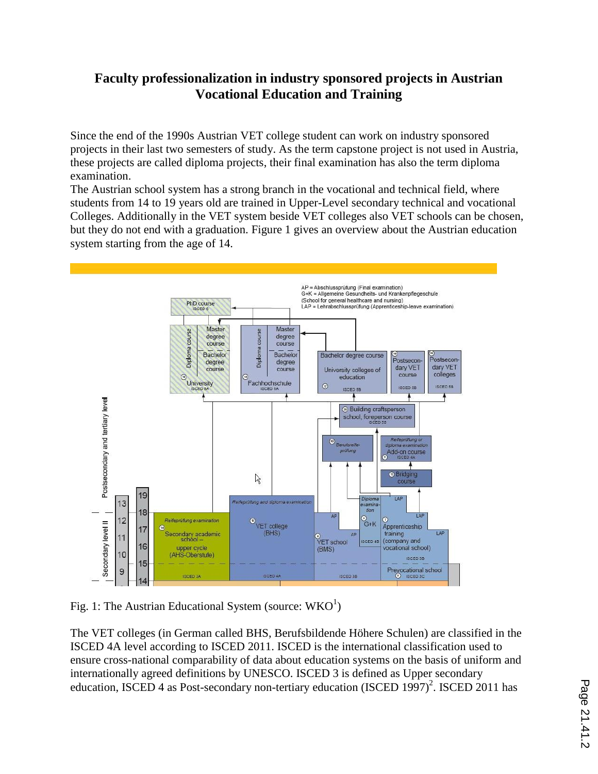# **Faculty professionalization in industry sponsored projects in Austrian Vocational Education and Training**

Since the end of the 1990s Austrian VET college student can work on industry sponsored projects in their last two semesters of study. As the term capstone project is not used in Austria, these projects are called diploma projects, their final examination has also the term diploma examination.

The Austrian school system has a strong branch in the vocational and technical field, where students from 14 to 19 years old are trained in Upper-Level secondary technical and vocational Colleges. Additionally in the VET system beside VET colleges also VET schools can be chosen, but they do not end with a graduation. Figure 1 gives an overview about the Austrian education system starting from the age of 14.



Fig. 1: The Austrian Educational System (source:  $WKO<sup>1</sup>$ )

The VET colleges (in German called BHS, Berufsbildende Höhere Schulen) are classified in the ISCED 4A level according to ISCED 2011. ISCED is the international classification used to ensure cross-national comparability of data about education systems on the basis of uniform and internationally agreed definitions by UNESCO. ISCED 3 is defined as Upper secondary education, ISCED 4 as Post-secondary non-tertiary education (ISCED 1997)<sup>2</sup>. ISCED 2011 has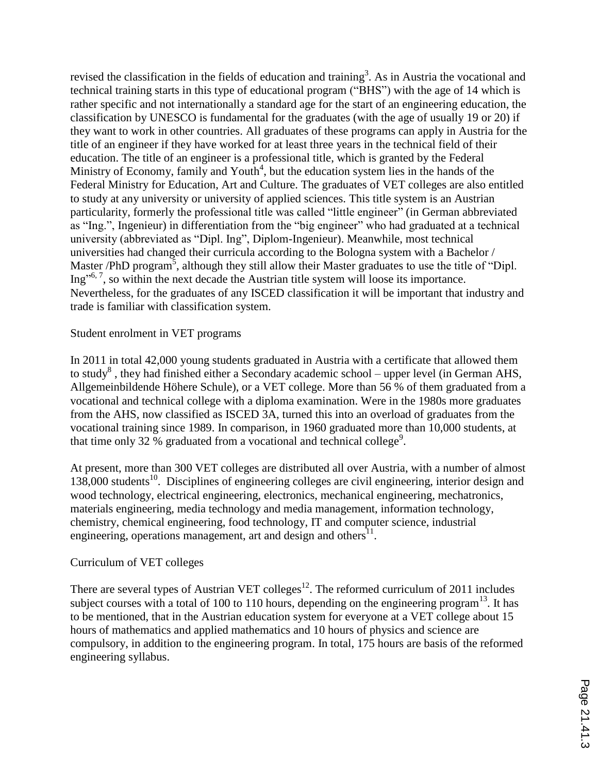revised the classification in the fields of education and training<sup>3</sup>. As in Austria the vocational and technical training starts in this type of educational program ("BHS") with the age of 14 which is rather specific and not internationally a standard age for the start of an engineering education, the classification by UNESCO is fundamental for the graduates (with the age of usually 19 or 20) if they want to work in other countries. All graduates of these programs can apply in Austria for the title of an engineer if they have worked for at least three years in the technical field of their education. The title of an engineer is a professional title, which is granted by the Federal Ministry of Economy, family and Youth<sup>4</sup>, but the education system lies in the hands of the Federal Ministry for Education, Art and Culture. The graduates of VET colleges are also entitled to study at any university or university of applied sciences. This title system is an Austrian particularity, formerly the professional title was called "little engineer" (in German abbreviated as "Ing.", Ingenieur) in differentiation from the "big engineer" who had graduated at a technical university (abbreviated as "Dipl. Ing", Diplom-Ingenieur). Meanwhile, most technical universities had changed their curricula according to the Bologna system with a Bachelor / Master /PhD program<sup>5</sup>, although they still allow their Master graduates to use the title of "Dipl. Ing"<sup>6, 7</sup>, so within the next decade the Austrian title system will loose its importance. Nevertheless, for the graduates of any ISCED classification it will be important that industry and trade is familiar with classification system.

### Student enrolment in VET programs

In 2011 in total 42,000 young students graduated in Austria with a certificate that allowed them to study<sup>8</sup>, they had finished either a Secondary academic school – upper level (in German AHS, Allgemeinbildende Höhere Schule), or a VET college. More than 56 % of them graduated from a vocational and technical college with a diploma examination. Were in the 1980s more graduates from the AHS, now classified as ISCED 3A, turned this into an overload of graduates from the vocational training since 1989. In comparison, in 1960 graduated more than 10,000 students, at that time only 32  $\%$  graduated from a vocational and technical college<sup>9</sup>.

At present, more than 300 VET colleges are distributed all over Austria, with a number of almost 138,000 students<sup>10</sup>. Disciplines of engineering colleges are civil engineering, interior design and wood technology, electrical engineering, electronics, mechanical engineering, mechatronics, materials engineering, media technology and media management, information technology, chemistry, chemical engineering, food technology, IT and computer science, industrial engineering, operations management, art and design and others<sup>11</sup>.

#### Curriculum of VET colleges

There are several types of Austrian VET colleges<sup>12</sup>. The reformed curriculum of 2011 includes subject courses with a total of 100 to 110 hours, depending on the engineering program $^{13}$ . It has to be mentioned, that in the Austrian education system for everyone at a VET college about 15 hours of mathematics and applied mathematics and 10 hours of physics and science are compulsory, in addition to the engineering program. In total, 175 hours are basis of the reformed engineering syllabus.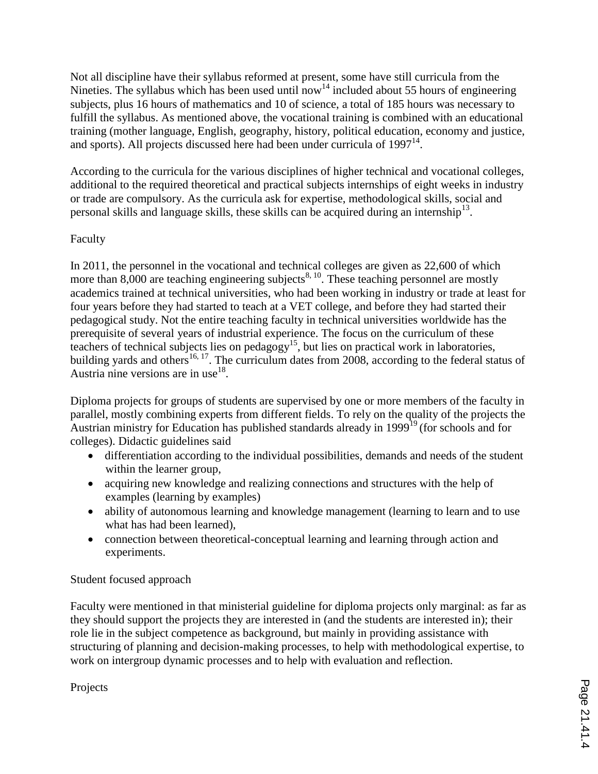Not all discipline have their syllabus reformed at present, some have still curricula from the Nineties. The syllabus which has been used until now<sup>14</sup> included about 55 hours of engineering subjects, plus 16 hours of mathematics and 10 of science, a total of 185 hours was necessary to fulfill the syllabus. As mentioned above, the vocational training is combined with an educational training (mother language, English, geography, history, political education, economy and justice, and sports). All projects discussed here had been under curricula of 1997<sup>14</sup>.

According to the curricula for the various disciplines of higher technical and vocational colleges, additional to the required theoretical and practical subjects internships of eight weeks in industry or trade are compulsory. As the curricula ask for expertise, methodological skills, social and personal skills and language skills, these skills can be acquired during an internship<sup>13</sup>.

## Faculty

In 2011, the personnel in the vocational and technical colleges are given as 22,600 of which more than  $8,000$  are teaching engineering subjects<sup>8, 10</sup>. These teaching personnel are mostly academics trained at technical universities, who had been working in industry or trade at least for four years before they had started to teach at a VET college, and before they had started their pedagogical study. Not the entire teaching faculty in technical universities worldwide has the prerequisite of several years of industrial experience. The focus on the curriculum of these teachers of technical subjects lies on pedagogy<sup>15</sup>, but lies on practical work in laboratories, building yards and others<sup>16, 17</sup>. The curriculum dates from 2008, according to the federal status of Austria nine versions are in use<sup>18</sup>.

Diploma projects for groups of students are supervised by one or more members of the faculty in parallel, mostly combining experts from different fields. To rely on the quality of the projects the Austrian ministry for Education has published standards already in 1999<sup>19</sup> (for schools and for colleges). Didactic guidelines said

- differentiation according to the individual possibilities, demands and needs of the student within the learner group,
- acquiring new knowledge and realizing connections and structures with the help of examples (learning by examples)
- ability of autonomous learning and knowledge management (learning to learn and to use what has had been learned),
- connection between theoretical-conceptual learning and learning through action and experiments.

## Student focused approach

Faculty were mentioned in that ministerial guideline for diploma projects only marginal: as far as they should support the projects they are interested in (and the students are interested in); their role lie in the subject competence as background, but mainly in providing assistance with structuring of planning and decision-making processes, to help with methodological expertise, to work on intergroup dynamic processes and to help with evaluation and reflection.

Projects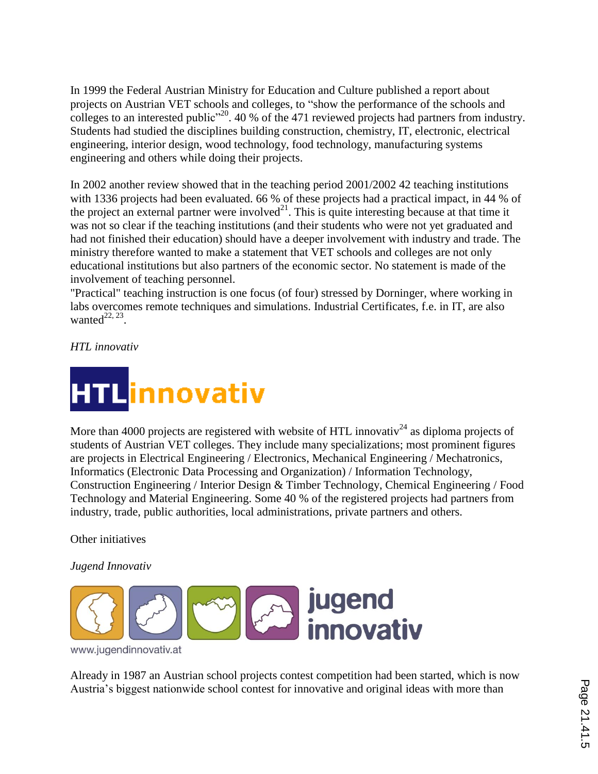In 1999 the Federal Austrian Ministry for Education and Culture published a report about projects on Austrian VET schools and colleges, to "show the performance of the schools and colleges to an interested public<sup> $20$ </sup>. 40 % of the 471 reviewed projects had partners from industry. Students had studied the disciplines building construction, chemistry, IT, electronic, electrical engineering, interior design, wood technology, food technology, manufacturing systems engineering and others while doing their projects.

In 2002 another review showed that in the teaching period 2001/2002 42 teaching institutions with 1336 projects had been evaluated. 66 % of these projects had a practical impact, in 44 % of the project an external partner were involved $^{21}$ . This is quite interesting because at that time it was not so clear if the teaching institutions (and their students who were not yet graduated and had not finished their education) should have a deeper involvement with industry and trade. The ministry therefore wanted to make a statement that VET schools and colleges are not only educational institutions but also partners of the economic sector. No statement is made of the involvement of teaching personnel.

"Practical" teaching instruction is one focus (of four) stressed by Dorninger, where working in labs overcomes remote techniques and simulations. Industrial Certificates, f.e. in IT, are also wanted $^{22, 23}$ .

*HTL innovativ*



More than 4000 projects are registered with website of HTL innovativ<sup>24</sup> as diploma projects of students of Austrian VET colleges. They include many specializations; most prominent figures are projects in Electrical Engineering / Electronics, Mechanical Engineering / Mechatronics, Informatics (Electronic Data Processing and Organization) / Information Technology, Construction Engineering / Interior Design & Timber Technology, Chemical Engineering / Food Technology and Material Engineering. Some 40 % of the registered projects had partners from industry, trade, public authorities, local administrations, private partners and others.

Other initiatives

*Jugend Innovativ*



Already in 1987 an Austrian school projects contest competition had been started, which is now Austria's biggest nationwide school contest for innovative and original ideas with more than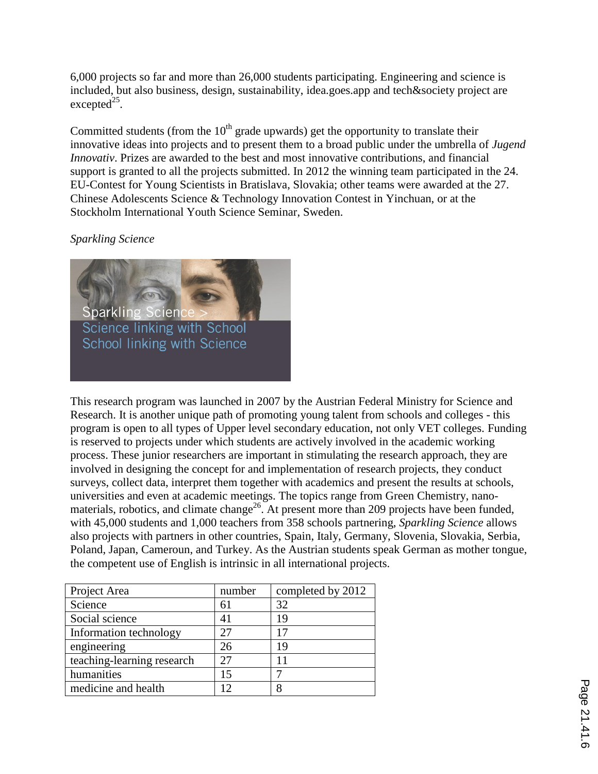6,000 projects so far and more than 26,000 students participating. Engineering and science is included, but also business, design, sustainability, idea.goes.app and tech&society project are  $excepted<sup>25</sup>$ .

Committed students (from the  $10<sup>th</sup>$  grade upwards) get the opportunity to translate their innovative ideas into projects and to present them to a broad public under the umbrella of *Jugend Innovativ*. Prizes are awarded to the best and most innovative contributions, and financial support is granted to all the projects submitted. In 2012 the winning team participated in the 24. EU-Contest for Young Scientists in Bratislava, Slovakia; other teams were awarded at the 27. Chinese Adolescents Science & Technology Innovation Contest in Yinchuan, or at the Stockholm International Youth Science Seminar, Sweden.

## *Sparkling Science*



This research program was launched in 2007 by the Austrian Federal Ministry for Science and Research. It is another unique path of promoting young talent from schools and colleges - this program is open to all types of Upper level secondary education, not only VET colleges. Funding is reserved to projects under which students are actively involved in the academic working process. These junior researchers are important in stimulating the research approach, they are involved in designing the concept for and implementation of research projects, they conduct surveys, collect data, interpret them together with academics and present the results at schools, universities and even at academic meetings. The topics range from Green Chemistry, nanomaterials, robotics, and climate change<sup>26</sup>. At present more than 209 projects have been funded, with 45,000 students and 1,000 teachers from 358 schools partnering, *Sparkling Science* allows also projects with partners in other countries, Spain, Italy, Germany, Slovenia, Slovakia, Serbia, Poland, Japan, Cameroun, and Turkey. As the Austrian students speak German as mother tongue, the competent use of English is intrinsic in all international projects.

| Project Area               | number | completed by 2012 |
|----------------------------|--------|-------------------|
| Science                    | 61     | 32                |
| Social science             | 41     | 19                |
| Information technology     | 27     | 17                |
| engineering                | 26     | 19                |
| teaching-learning research | 27     |                   |
| humanities                 | 15     |                   |
| medicine and health        |        |                   |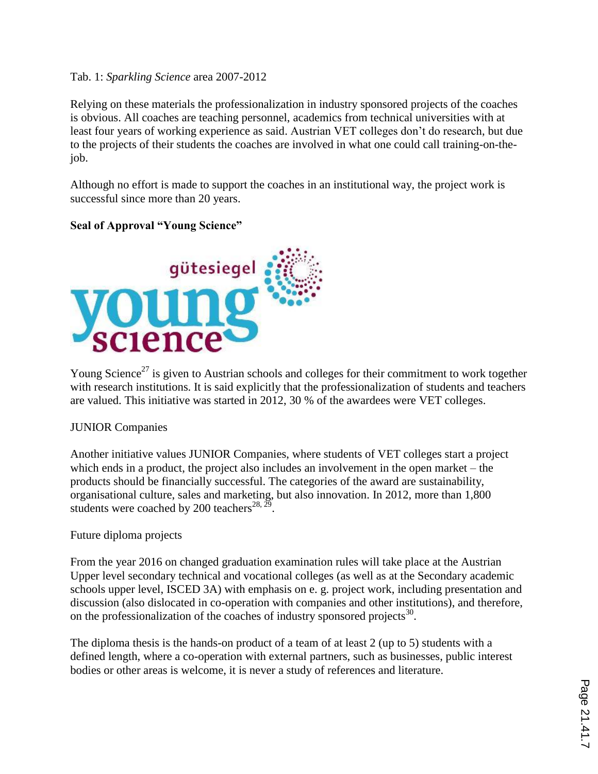#### Tab. 1: *Sparkling Science* area 2007-2012

Relying on these materials the professionalization in industry sponsored projects of the coaches is obvious. All coaches are teaching personnel, academics from technical universities with at least four years of working experience as said. Austrian VET colleges don't do research, but due to the projects of their students the coaches are involved in what one could call training-on-thejob.

Although no effort is made to support the coaches in an institutional way, the project work is successful since more than 20 years.

## **Seal of Approval "Young Science"**



Young Science<sup>27</sup> is given to Austrian schools and colleges for their commitment to work together with research institutions. It is said explicitly that the professionalization of students and teachers are valued. This initiative was started in 2012, 30 % of the awardees were VET colleges.

#### JUNIOR Companies

Another initiative values JUNIOR Companies, where students of VET colleges start a project which ends in a product, the project also includes an involvement in the open market – the products should be financially successful. The categories of the award are sustainability, organisational culture, sales and marketing, but also innovation. In 2012, more than 1,800 students were coached by 200 teachers<sup>28, 29</sup>.

## Future diploma projects

From the year 2016 on changed graduation examination rules will take place at the Austrian Upper level secondary technical and vocational colleges (as well as at the Secondary academic schools upper level, ISCED 3A) with emphasis on e. g. project work, including presentation and discussion (also dislocated in co-operation with companies and other institutions), and therefore, on the professionalization of the coaches of industry sponsored projects<sup>30</sup>.

The diploma thesis is the hands-on product of a team of at least 2 (up to 5) students with a defined length, where a co-operation with external partners, such as businesses, public interest bodies or other areas is welcome, it is never a study of references and literature.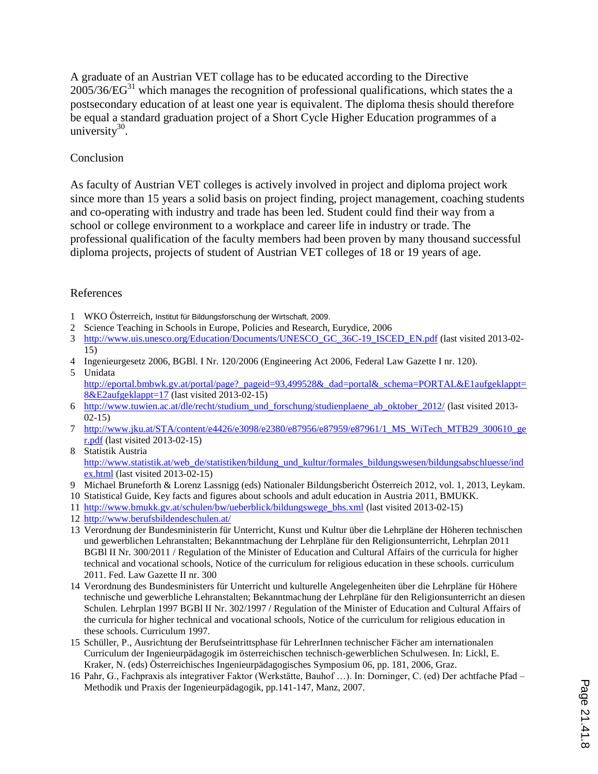A graduate of an Austrian VET collage has to be educated according to the Directive  $2005/36/EG^{31}$  which manages the recognition of professional qualifications, which states the a postsecondary education of at least one year is equivalent. The diploma thesis should therefore be equal a standard graduation project of a Short Cycle Higher Education programmes of a university $30$ .

#### Conclusion

As faculty of Austrian VET colleges is actively involved in project and diploma project work since more than 15 years a solid basis on project finding, project management, coaching students and co-operating with industry and trade has been led. Student could find their way from a school or college environment to a workplace and career life in industry or trade. The professional qualification of the faculty members had been proven by many thousand successful diploma projects, projects of student of Austrian VET colleges of 18 or 19 years of age.

#### References

- 1 WKO Österreich, Institut für Bildungsforschung der Wirtschaft, 2009.
- 2 Science Teaching in Schools in Europe, Policies and Research, Eurydice, 2006
- 3 http://www.uis.unesco.org/Education/Documents/UNESCO\_GC\_36C-19\_ISCED\_EN.pdf (last visited 2013-02- 15)
- 4 Ingenieurgesetz 2006, BGBl. I Nr. 120/2006 (Engineering Act 2006, Federal Law Gazette I nr. 120).
- 5 Unidata http://eportal.bmbwk.gv.at/portal/page? pageid=93,499528& dad=portal& schema=PORTAL&E1aufgeklappt= 8&E2aufgeklappt=17 (last visited 2013-02-15)
- 6 http://www.tuwien.ac.at/dle/recht/studium\_und\_forschung/studienplaene\_ab\_oktober\_2012/ (last visited 2013- 02-15)
- 7 http://www.jku.at/STA/content/e4426/e3098/e2380/e87956/e87959/e87961/1\_MS\_WiTech\_MTB29\_300610\_ge r.pdf (last visited 2013-02-15)
- 8 Statistik Austria http://www.statistik.at/web\_de/statistiken/bildung\_und\_kultur/formales\_bildungswesen/bildungsabschluesse/ind ex.html (last visited 2013-02-15)
- 9 Michael Bruneforth & Lorenz Lassnigg (eds) Nationaler Bildungsbericht Österreich 2012, vol. 1, 2013, Leykam.
- 10 Statistical Guide, Key facts and figures about schools and adult education in Austria 2011, BMUKK.
- 11 http://www.bmukk.gv.at/schulen/bw/ueberblick/bildungswege\_bhs.xml (last visited 2013-02-15)
- 12 http://www.berufsbildendeschulen.at/
- 13 Verordnung der Bundesministerin für Unterricht, Kunst und Kultur über die Lehrpläne der Höheren technischen und gewerblichen Lehranstalten; Bekanntmachung der Lehrpläne für den Religionsunterricht, Lehrplan 2011 BGBl II Nr. 300/2011 / Regulation of the Minister of Education and Cultural Affairs of the curricula for higher technical and vocational schools, Notice of the curriculum for religious education in these schools. curriculum 2011. Fed. Law Gazette II nr. 300
- 14 Verordnung des Bundesministers für Unterricht und kulturelle Angelegenheiten über die Lehrpläne für Höhere technische und gewerbliche Lehranstalten; Bekanntmachung der Lehrpläne für den Religionsunterricht an diesen Schulen. Lehrplan 1997 BGBl II Nr. 302/1997 / Regulation of the Minister of Education and Cultural Affairs of the curricula for higher technical and vocational schools, Notice of the curriculum for religious education in these schools. Curriculum 1997.
- 15 Schüller, P., Ausrichtung der Berufseintrittsphase für LehrerInnen technischer Fächer am internationalen Curriculum der Ingenieurpädagogik im österreichischen technisch-gewerblichen Schulwesen. In: Lickl, E. Kraker, N. (eds) Österreichisches Ingenieurpädagogisches Symposium 06, pp. 181, 2006, Graz.
- 16 Pahr, G., Fachpraxis als integrativer Faktor (Werkstätte, Bauhof …). In: Dorninger, C. (ed) Der achtfache Pfad Methodik und Praxis der Ingenieurpädagogik, pp.141-147, Manz, 2007.